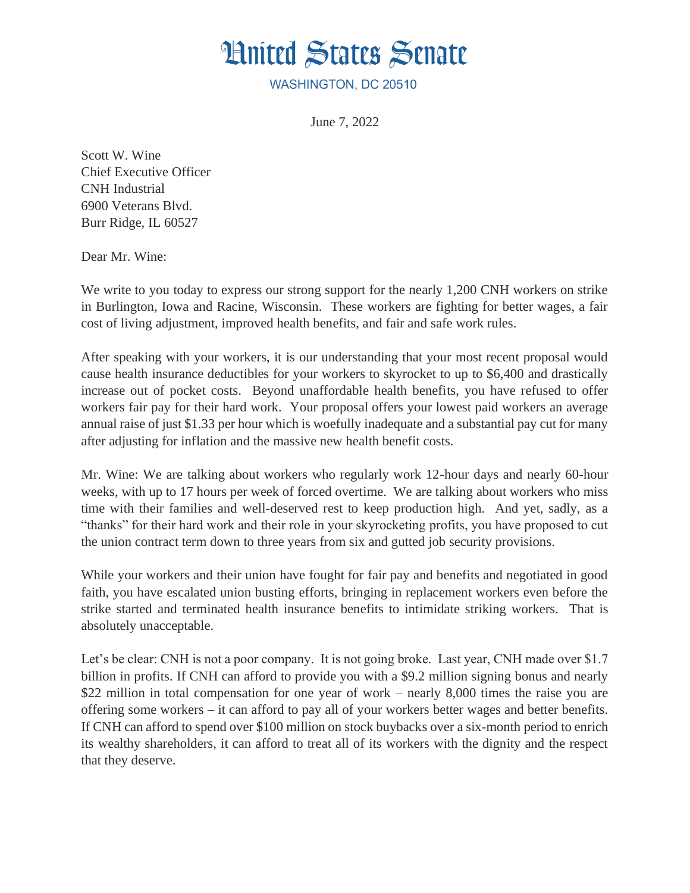## **Hnited States Senate**

WASHINGTON, DC 20510

June 7, 2022

Scott W. Wine Chief Executive Officer CNH Industrial 6900 Veterans Blvd. Burr Ridge, IL 60527

Dear Mr. Wine:

We write to you today to express our strong support for the nearly 1,200 CNH workers on strike in Burlington, Iowa and Racine, Wisconsin. These workers are fighting for better wages, a fair cost of living adjustment, improved health benefits, and fair and safe work rules.

After speaking with your workers, it is our understanding that your most recent proposal would cause health insurance deductibles for your workers to skyrocket to up to \$6,400 and drastically increase out of pocket costs. Beyond unaffordable health benefits, you have refused to offer workers fair pay for their hard work. Your proposal offers your lowest paid workers an average annual raise of just \$1.33 per hour which is woefully inadequate and a substantial pay cut for many after adjusting for inflation and the massive new health benefit costs.

Mr. Wine: We are talking about workers who regularly work 12-hour days and nearly 60-hour weeks, with up to 17 hours per week of forced overtime. We are talking about workers who miss time with their families and well-deserved rest to keep production high. And yet, sadly, as a "thanks" for their hard work and their role in your skyrocketing profits, you have proposed to cut the union contract term down to three years from six and gutted job security provisions.

While your workers and their union have fought for fair pay and benefits and negotiated in good faith, you have escalated union busting efforts, bringing in replacement workers even before the strike started and terminated health insurance benefits to intimidate striking workers. That is absolutely unacceptable.

Let's be clear: CNH is not a poor company. It is not going broke. Last year, CNH made over \$1.7 billion in profits. If CNH can afford to provide you with a \$9.2 million signing bonus and nearly \$22 million in total compensation for one year of work – nearly 8,000 times the raise you are offering some workers – it can afford to pay all of your workers better wages and better benefits. If CNH can afford to spend over \$100 million on stock buybacks over a six-month period to enrich its wealthy shareholders, it can afford to treat all of its workers with the dignity and the respect that they deserve.